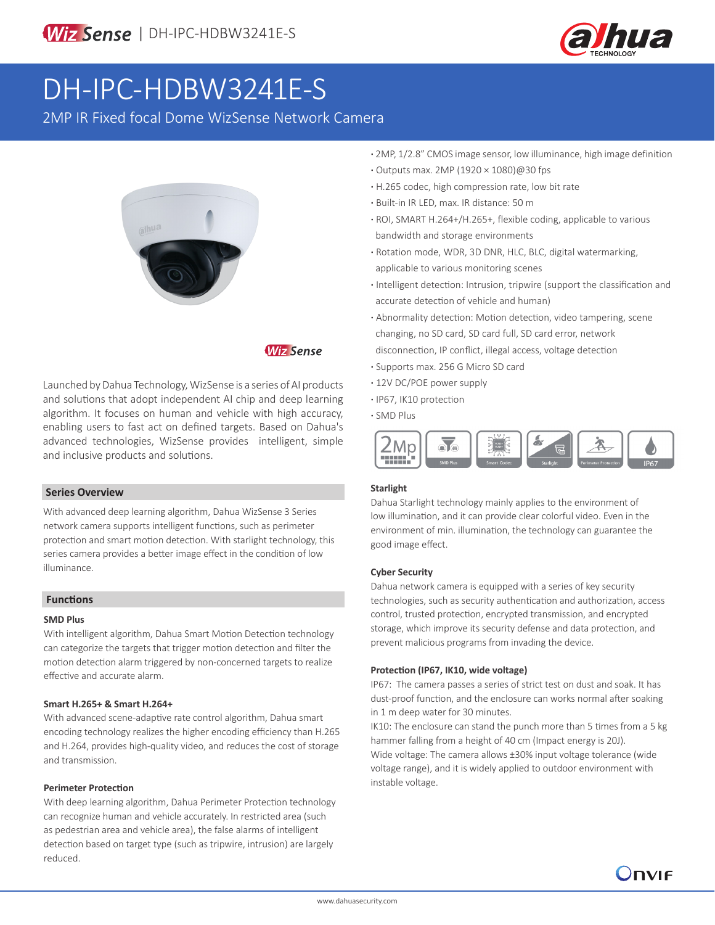

# DH-IPC-HDBW3241E-S

2MP IR Fixed focal Dome WizSense Network Camera



# **Wiz Sense**

Launched by Dahua Technology, WizSense is a series of AI products and solutions that adopt independent AI chip and deep learning algorithm. It focuses on human and vehicle with high accuracy, enabling users to fast act on defined targets. Based on Dahua's advanced technologies, WizSense provides intelligent, simple and inclusive products and solutions.

#### **Series Overview**

With advanced deep learning algorithm, Dahua WizSense 3 Series network camera supports intelligent functions, such as perimeter protection and smart motion detection. With starlight technology, this series camera provides a better image effect in the condition of low illuminance.

#### **Functions**

#### **SMD Plus**

With intelligent algorithm, Dahua Smart Motion Detection technology can categorize the targets that trigger motion detection and filter the motion detection alarm triggered by non-concerned targets to realize effective and accurate alarm.

#### **Smart H.265+ & Smart H.264+**

With advanced scene-adaptive rate control algorithm, Dahua smart encoding technology realizes the higher encoding efficiency than H.265 and H.264, provides high-quality video, and reduces the cost of storage and transmission.

#### **Perimeter Protection**

With deep learning algorithm, Dahua Perimeter Protection technology can recognize human and vehicle accurately. In restricted area (such as pedestrian area and vehicle area), the false alarms of intelligent detection based on target type (such as tripwire, intrusion) are largely reduced.

- **·** 2MP, 1/2.8" CMOS image sensor, low illuminance, high image definition
- **·** Outputs max. 2MP (1920 × 1080)@30 fps
- **·** H.265 codec, high compression rate, low bit rate
- **·** Built-in IR LED, max. IR distance: 50 m
- **·** ROI, SMART H.264+/H.265+, flexible coding, applicable to various bandwidth and storage environments
- **·** Rotation mode, WDR, 3D DNR, HLC, BLC, digital watermarking, applicable to various monitoring scenes
- **·** Intelligent detection: Intrusion, tripwire (support the classification and accurate detection of vehicle and human)
- **·** Abnormality detection: Motion detection, video tampering, scene changing, no SD card, SD card full, SD card error, network disconnection, IP conflict, illegal access, voltage detection
- **·** Supports max. 256 G Micro SD card
- **·** 12V DC/POE power supply
- **·** IP67, IK10 protection
- **·** SMD Plus



# **Starlight**

Dahua Starlight technology mainly applies to the environment of low illumination, and it can provide clear colorful video. Even in the environment of min. illumination, the technology can guarantee the good image effect.

#### **Cyber Security**

Dahua network camera is equipped with a series of key security technologies, such as security authentication and authorization, access control, trusted protection, encrypted transmission, and encrypted storage, which improve its security defense and data protection, and prevent malicious programs from invading the device.

#### **Protection (IP67, IK10, wide voltage)**

IP67: The camera passes a series of strict test on dust and soak. It has dust-proof function, and the enclosure can works normal after soaking in 1 m deep water for 30 minutes.

IK10: The enclosure can stand the punch more than 5 times from a 5 kg hammer falling from a height of 40 cm (Impact energy is 20J).

Wide voltage: The camera allows ±30% input voltage tolerance (wide voltage range), and it is widely applied to outdoor environment with instable voltage.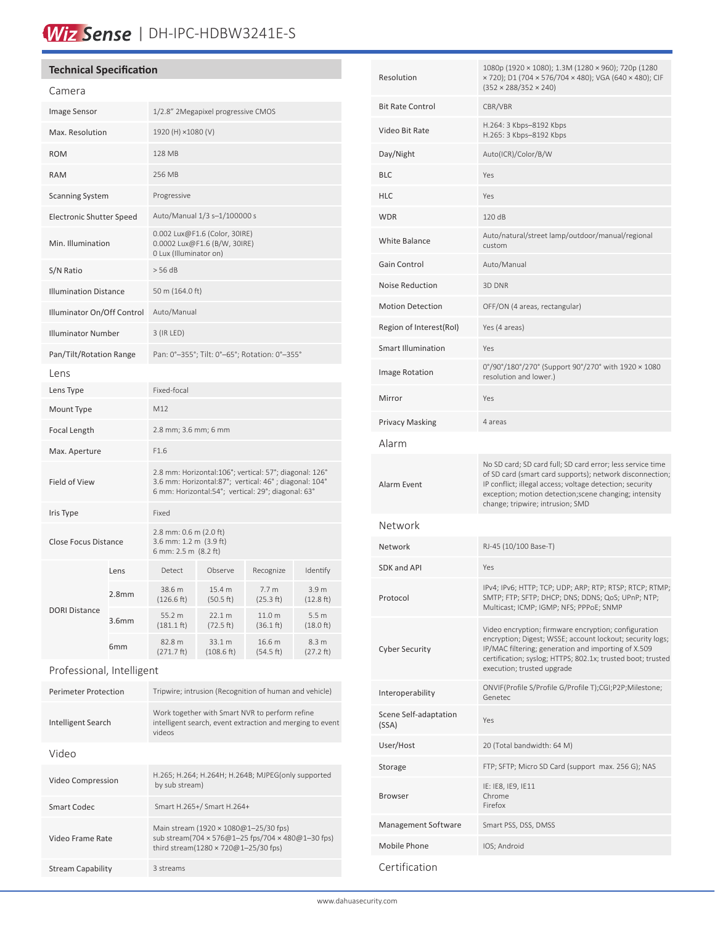# Wiz Sense | DH-IPC-HDBW3241E-S

# **Technical Specification**

| Camera                          |                   |                                                                                                                                                                       |                      |                               |                                         |
|---------------------------------|-------------------|-----------------------------------------------------------------------------------------------------------------------------------------------------------------------|----------------------|-------------------------------|-----------------------------------------|
| Image Sensor                    |                   | 1/2.8" 2Megapixel progressive CMOS                                                                                                                                    |                      |                               |                                         |
| Max. Resolution                 |                   | 1920 (H) ×1080 (V)                                                                                                                                                    |                      |                               |                                         |
| <b>ROM</b>                      |                   | <b>128 MB</b>                                                                                                                                                         |                      |                               |                                         |
| <b>RAM</b>                      |                   | 256 MB                                                                                                                                                                |                      |                               |                                         |
| <b>Scanning System</b>          |                   | Progressive                                                                                                                                                           |                      |                               |                                         |
| <b>Electronic Shutter Speed</b> |                   | Auto/Manual 1/3 s-1/100000 s                                                                                                                                          |                      |                               |                                         |
| Min. Illumination               |                   | 0.002 Lux@F1.6 (Color, 30IRE)<br>0.0002 Lux@F1.6 (B/W, 30IRE)<br>0 Lux (Illuminator on)                                                                               |                      |                               |                                         |
| S/N Ratio                       |                   | > 56 dB                                                                                                                                                               |                      |                               |                                         |
| <b>Illumination Distance</b>    |                   | 50 m (164.0 ft)                                                                                                                                                       |                      |                               |                                         |
| Illuminator On/Off Control      |                   | Auto/Manual                                                                                                                                                           |                      |                               |                                         |
| <b>Illuminator Number</b>       |                   | 3 (IR LED)                                                                                                                                                            |                      |                               |                                         |
| Pan/Tilt/Rotation Range         |                   | Pan: 0°-355°; Tilt: 0°-65°; Rotation: 0°-355°                                                                                                                         |                      |                               |                                         |
| l ens                           |                   |                                                                                                                                                                       |                      |                               |                                         |
| Lens Type                       |                   | Fixed-focal                                                                                                                                                           |                      |                               |                                         |
| Mount Type                      |                   | M12                                                                                                                                                                   |                      |                               |                                         |
| Focal Length                    |                   | 2.8 mm; 3.6 mm; 6 mm                                                                                                                                                  |                      |                               |                                         |
| Max. Aperture                   |                   | F1.6                                                                                                                                                                  |                      |                               |                                         |
| Field of View                   |                   | 2.8 mm: Horizontal:106°; vertical: 57°; diagonal: 126°<br>3.6 mm: Horizontal:87°; vertical: 46°; diagonal: 104°<br>6 mm: Horizontal:54°; vertical: 29°; diagonal: 63° |                      |                               |                                         |
| Iris Type                       |                   | Fixed                                                                                                                                                                 |                      |                               |                                         |
| <b>Close Focus Distance</b>     |                   | 2.8 mm: 0.6 m (2.0 ft)<br>3.6 mm: 1.2 m (3.9 ft)<br>6 mm: 2.5 m (8.2 ft)                                                                                              |                      |                               |                                         |
| DORI Distance                   | Lens              | Detect                                                                                                                                                                | Observe              | Recognize                     | Identify                                |
|                                 | 2.8 <sub>mm</sub> | 38.6 m<br>(126.6 ft)                                                                                                                                                  | 15.4 m<br>(50.5 ft)  | 7.7 <sub>m</sub><br>(25.3 ft) | 3.9 <sub>m</sub><br>$(12.8 \text{ ft})$ |
|                                 | 3.6mm             | 55.2 m<br>$(181.1 \text{ ft})$                                                                                                                                        | 22.1 m<br>(72.5 ft)  | 11.0 m<br>(36.1 ft)           | 5.5 <sub>m</sub><br>(18.0 ft)           |
|                                 | 6mm               | 82.8 m<br>(271.7 ft)                                                                                                                                                  | 33.1 m<br>(108.6 ft) | 16.6 m<br>(54.5 ft)           | 8.3 m<br>$(27.2 \text{ ft})$            |
| Professional, Intelligent       |                   |                                                                                                                                                                       |                      |                               |                                         |
| <b>Perimeter Protection</b>     |                   | Tripwire; intrusion (Recognition of human and vehicle)                                                                                                                |                      |                               |                                         |

| Intelligent Search       | Work together with Smart NVR to perform refine<br>intelligent search, event extraction and merging to event<br>videos              |  |
|--------------------------|------------------------------------------------------------------------------------------------------------------------------------|--|
| Video                    |                                                                                                                                    |  |
| Video Compression        | H.265; H.264; H.264H; H.264B; MJPEG(only supported<br>by sub stream)                                                               |  |
| Smart Codec              | Smart H.265+/ Smart H.264+                                                                                                         |  |
| Video Frame Rate         | Main stream (1920 × 1080@1-25/30 fps)<br>sub stream(704 × 576@1-25 fps/704 × 480@1-30 fps)<br>third stream(1280 × 720@1-25/30 fps) |  |
| <b>Stream Capability</b> | 3 streams                                                                                                                          |  |

| Resolution                     | 1080p (1920 × 1080); 1.3M (1280 × 960); 720p (1280<br>× 720); D1 (704 × 576/704 × 480); VGA (640 × 480); CIF<br>$(352 \times 288/352 \times 240)$                                                                                                                                |  |  |
|--------------------------------|----------------------------------------------------------------------------------------------------------------------------------------------------------------------------------------------------------------------------------------------------------------------------------|--|--|
| <b>Bit Rate Control</b>        | CBR/VBR                                                                                                                                                                                                                                                                          |  |  |
| Video Bit Rate                 | H.264: 3 Kbps-8192 Kbps<br>H.265: 3 Kbps-8192 Kbps                                                                                                                                                                                                                               |  |  |
| Day/Night                      | Auto(ICR)/Color/B/W                                                                                                                                                                                                                                                              |  |  |
| BLC                            | Yes                                                                                                                                                                                                                                                                              |  |  |
| HLC                            | Yes                                                                                                                                                                                                                                                                              |  |  |
| WDR                            | 120 dB                                                                                                                                                                                                                                                                           |  |  |
| <b>White Balance</b>           | Auto/natural/street lamp/outdoor/manual/regional<br>custom                                                                                                                                                                                                                       |  |  |
| Gain Control                   | Auto/Manual                                                                                                                                                                                                                                                                      |  |  |
| <b>Noise Reduction</b>         | 3D DNR                                                                                                                                                                                                                                                                           |  |  |
| <b>Motion Detection</b>        | OFF/ON (4 areas, rectangular)                                                                                                                                                                                                                                                    |  |  |
| Region of Interest(RoI)        | Yes (4 areas)                                                                                                                                                                                                                                                                    |  |  |
| <b>Smart Illumination</b>      | Yes                                                                                                                                                                                                                                                                              |  |  |
| Image Rotation                 | 0°/90°/180°/270° (Support 90°/270° with 1920 × 1080<br>resolution and lower.)                                                                                                                                                                                                    |  |  |
| Mirror                         | Yes                                                                                                                                                                                                                                                                              |  |  |
| Privacy Masking                | 4 areas                                                                                                                                                                                                                                                                          |  |  |
| Alarm                          |                                                                                                                                                                                                                                                                                  |  |  |
| Alarm Event                    | No SD card; SD card full; SD card error; less service time<br>of SD card (smart card supports); network disconnection;<br>IP conflict; illegal access; voltage detection; security<br>exception; motion detection; scene changing; intensity<br>change; tripwire; intrusion; SMD |  |  |
| Network                        |                                                                                                                                                                                                                                                                                  |  |  |
| Network                        | RJ-45 (10/100 Base-T)                                                                                                                                                                                                                                                            |  |  |
| <b>SDK and API</b>             | Yes                                                                                                                                                                                                                                                                              |  |  |
| Protocol                       | IPv4; IPv6; HTTP; TCP; UDP; ARP; RTP; RTSP; RTCP; RTMP;<br>SMTP; FTP; SFTP; DHCP; DNS; DDNS; QoS; UPnP; NTP;<br>Multicast; ICMP; IGMP; NFS; PPPoE; SNMP                                                                                                                          |  |  |
| <b>Cyber Security</b>          | Video encryption; firmware encryption; configuration<br>encryption; Digest; WSSE; account lockout; security logs;<br>IP/MAC filtering; generation and importing of X.509<br>certification; syslog; HTTPS; 802.1x; trusted boot; trusted<br>execution; trusted upgrade            |  |  |
| Interoperability               | ONVIF(Profile S/Profile G/Profile T);CGI;P2P;Milestone;<br>Genetec                                                                                                                                                                                                               |  |  |
| Scene Self-adaptation<br>(SSA) | Yes                                                                                                                                                                                                                                                                              |  |  |
| User/Host                      | 20 (Total bandwidth: 64 M)                                                                                                                                                                                                                                                       |  |  |
| Storage                        | FTP; SFTP; Micro SD Card (support max. 256 G); NAS                                                                                                                                                                                                                               |  |  |
| <b>Browser</b>                 | IE: IE8, IE9, IE11<br>Chrome<br>Firefox                                                                                                                                                                                                                                          |  |  |
| Management Software            | Smart PSS, DSS, DMSS                                                                                                                                                                                                                                                             |  |  |
| Mobile Phone                   | IOS; Android                                                                                                                                                                                                                                                                     |  |  |
| Certification                  |                                                                                                                                                                                                                                                                                  |  |  |